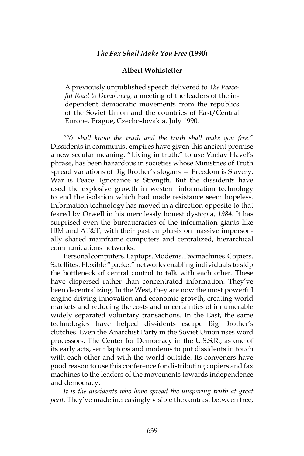## **Albert Wohlstetter**

A previously unpublished speech delivered to T*he Peaceful Road to Democracy,* a meeting of the leaders of the independent democratic movements from the republics of the Soviet Union and the countries of East/Central Europe, Prague, Czechoslovakia, July 1990.

"*Ye shall know the truth and the truth shall make you free."* Dissidents in communist empires have given this ancient promise a new secular meaning. "Living in truth," to use Vaclav Havel's phrase, has been hazardous in societies whose Ministries of Truth spread variations of Big Brother's slogans — Freedom is Slavery. War is Peace. Ignorance is Strength. But the dissidents have used the explosive growth in western information technology to end the isolation which had made resistance seem hopeless. Information technology has moved in a direction opposite to that feared by Orwell in his mercilessly honest dystopia, *1984*. It has surprised even the bureaucracies of the information giants like IBM and AT&T, with their past emphasis on massive impersonally shared mainframe computers and centralized, hierarchical communications networks.

Personal computers. Laptops. Modems. Fax machines. Copiers. Satellites. Flexible "packet" networks enabling individuals to skip the bottleneck of central control to talk with each other. These have dispersed rather than concentrated information. They've been decentralizing. In the West, they are now the most powerful engine driving innovation and economic growth, creating world markets and reducing the costs and uncertainties of innumerable widely separated voluntary transactions. In the East, the same technologies have helped dissidents escape Big Brother's clutches. Even the Anarchist Party in the Soviet Union uses word processors. The Center for Democracy in the U.S.S.R., as one of its early acts, sent laptops and modems to put dissidents in touch with each other and with the world outside. Its conveners have good reason to use this conference for distributing copiers and fax machines to the leaders of the movements towards independence and democracy.

*It is the dissidents who have spread the unsparing truth at great peril.* They've made increasingly visible the contrast between free,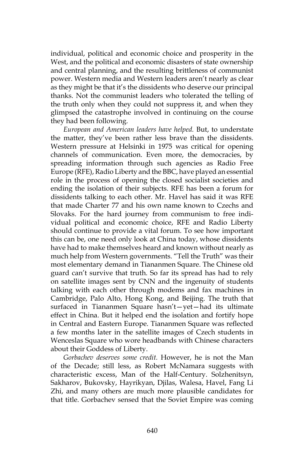individual, political and economic choice and prosperity in the West, and the political and economic disasters of state ownership and central planning, and the resulting brittleness of communist power. Western media and Western leaders aren't nearly as clear as they might be that it's the dissidents who deserve our principal thanks. Not the communist leaders who tolerated the telling of the truth only when they could not suppress it, and when they glimpsed the catastrophe involved in continuing on the course they had been following.

*European and American leaders have helped.* But, to understate the matter, they've been rather less brave than the dissidents. Western pressure at Helsinki in 1975 was critical for opening channels of communication. Even more, the democracies, by spreading information through such agencies as Radio Free Europe (RFE), Radio Liberty and the BBC, have played an essential role in the process of opening the closed socialist societies and ending the isolation of their subjects. RFE has been a forum for dissidents talking to each other. Mr. Havel has said it was RFE that made Charter 77 and his own name known to Czechs and Slovaks. For the hard journey from communism to free individual political and economic choice, RFE and Radio Liberty should continue to provide a vital forum. To see how important this can be, one need only look at China today, whose dissidents have had to make themselves heard and known without nearly as much help from Western governments. "Tell the Truth" was their most elementary demand in Tiananmen Square. The Chinese old guard can't survive that truth. So far its spread has had to rely on satellite images sent by CNN and the ingenuity of students talking with each other through modems and fax machines in Cambridge, Palo Alto, Hong Kong, and Beijing. The truth that surfaced in Tiananmen Square hasn't—yet—had its ultimate effect in China. But it helped end the isolation and fortify hope in Central and Eastern Europe. Tiananmen Square was reflected a few months later in the satellite images of Czech students in Wenceslas Square who wore headbands with Chinese characters about their Goddess of Liberty.

*Gorbachev deserves some credit.* However, he is not the Man of the Decade; still less, as Robert McNamara suggests with characteristic excess, Man of the Half-Century. Solzhenitsyn, Sakharov, Bukovsky, Hayrikyan, Djilas, Walesa, Havel, Fang Li Zhi, and many others are much more plausible candidates for that title. Gorbachev sensed that the Soviet Empire was coming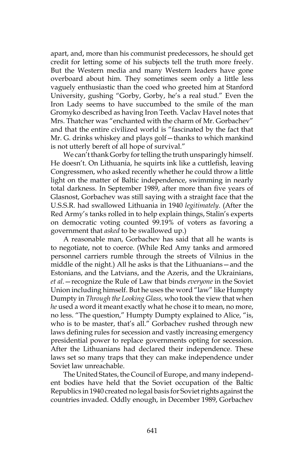apart, and, more than his communist predecessors, he should get credit for letting some of his subjects tell the truth more freely. But the Western media and many Western leaders have gone overboard about him. They sometimes seem only a little less vaguely enthusiastic than the coed who greeted him at Stanford University, gushing "Gorby, Gorby, he's a real stud." Even the Iron Lady seems to have succumbed to the smile of the man Gromyko described as having Iron Teeth. Vaclav Havel notes that Mrs. Thatcher was "enchanted with the charm of Mr. Gorbachev" and that the entire civilized world is "fascinated by the fact that Mr. G. drinks whiskey and plays golf—thanks to which mankind is not utterly bereft of all hope of survival."

We can't thank Gorby for telling the truth unsparingly himself. He doesn't. On Lithuania, he squirts ink like a cuttlefish, leaving Congressmen, who asked recently whether he could throw a little light on the matter of Baltic independence, swimming in nearly total darkness. In September 1989, after more than five years of Glasnost, Gorbachev was still saying with a straight face that the U.S.S.R. had swallowed Lithuania in 1940 *legitimately*. (After the Red Army's tanks rolled in to help explain things, Stalin's experts on democratic voting counted 99.19% of voters as favoring a government that *asked* to be swallowed up.)

A reasonable man, Gorbachev has said that all he wants is to negotiate, not to coerce. (While Red Amy tanks and armored personnel carriers rumble through the streets of Vilnius in the middle of the night.) All he asks is that the Lithuanians—and the Estonians, and the Latvians, and the Azeris, and the Ukrainians, *et al.*—recognize the Rule of Law that binds *everyone* in the Soviet Union including himself. But he uses the word "law" like Humpty Dumpty in *Through the Looking Glass,* who took the view that when *he* used a word it meant exactly what he chose it to mean, no more, no less. "The question," Humpty Dumpty explained to Alice, "is, who is to be master, that's all." Gorbachev rushed through new laws defining rules for secession and vastly increasing emergency presidential power to replace governments opting for secession. After the Lithuanians had declared their independence. These laws set so many traps that they can make independence under Soviet law unreachable.

The United States, the Council of Europe, and many independent bodies have held that the Soviet occupation of the Baltic Republics in 1940 created no legal basis for Soviet rights against the countries invaded. Oddly enough, in December 1989, Gorbachev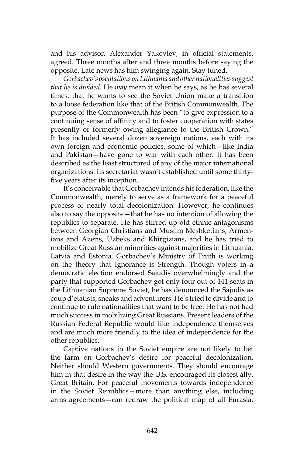and his advisor, Alexander Yakovlev, in official statements, agreed. Three months after and three months before saying the opposite. Late news has him swinging again. Stay tuned.

*Gorbachev's oscillations on Lithuania and other nationalities suggest that he is divided.* He *may* mean it when he says, as he has several times, that he wants to see the Soviet Union make a transition to a loose federation like that of the British Commonwealth. The purpose of the Commonwealth has been "to give expression to a continuing sense of affinity and to foster cooperation with states presently or formerly owing allegiance to the British Crown." It has included several dozen sovereign nations, each with its own foreign and economic policies, some of which—like India and Pakistan—have gone to war with each other. It has been described as the least structured of any of the major international organizations. Its secretariat wasn't established until some thirtyfive years after its inception.

It's conceivable that Gorbachev intends his federation, like the Commonwealth, merely to serve as a framework for a peaceful process of nearly total decolonization. However, he continues also to say the opposite—that he has no intention of allowing the republics to separate. He has stirred up old ethnic antagonisms between Georgian Christians and Muslim Meshketians, Armenians and Azeris, Uzbeks and Khirgizians, and he has tried to mobilize Great Russian minorities against majorities in Lithuania, Latvia and Estonia. Gorbachev's Ministry of Truth is working on the theory that Ignorance is Strength. Though voters in a democratic election endorsed Sajudis overwhelmingly and the party that supported Gorbachev got only four out of 141 seats in the Lithuanian Supreme Soviet, he has denounced the Sajudis as coup d'etatists, sneaks and adventurers. He's tried to divide and to continue to rule nationalities that want to be free. He has not had much success in mobilizing Great Russians. Present leaders of the Russian Federal Republic would like independence themselves and are much more friendly to the idea of independence for the other republics.

Captive nations in the Soviet empire are not likely to bet the farm on Gorbachev's desire for peaceful decolonization. Neither should Western governments. They should encourage him in that desire in the way the U.S. encouraged its closest ally, Great Britain. For peaceful movements towards independence in the Soviet Republics—more than anything else, including arms agreements—can redraw the political map of all Eurasia.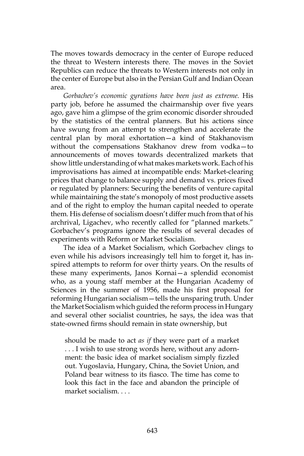The moves towards democracy in the center of Europe reduced the threat to Western interests there. The moves in the Soviet Republics can reduce the threats to Western interests not only in the center of Europe but also in the Persian Gulf and Indian Ocean area.

*Gorbachev's economic gyrations have been just as extreme.* His party job, before he assumed the chairmanship over five years ago, gave him a glimpse of the grim economic disorder shrouded by the statistics of the central planners. But his actions since have swung from an attempt to strengthen and accelerate the central plan by moral exhortation—a kind of Stakhanovism without the compensations Stakhanov drew from vodka—to announcements of moves towards decentralized markets that show little understanding of what makes markets work. Each of his improvisations has aimed at incompatible ends: Market-clearing prices that change to balance supply and demand vs. prices fixed or regulated by planners: Securing the benefits of venture capital while maintaining the state's monopoly of most productive assets and of the right to employ the human capital needed to operate them. His defense of socialism doesn't differ much from that of his archrival, Ligachev, who recently called for "planned markets." Gorbachev's programs ignore the results of several decades of experiments with Reform or Market Socialism.

The idea of a Market Socialism, which Gorbachev clings to even while his advisors increasingly tell him to forget it, has inspired attempts to reform for over thirty years. On the results of these many experiments, Janos Kornai—a splendid economist who, as a young staff member at the Hungarian Academy of Sciences in the summer of 1956, made his first proposal for reforming Hungarian socialism—tells the unsparing truth. Under the Market Socialism which guided the reform process in Hungary and several other socialist countries, he says, the idea was that state-owned firms should remain in state ownership, but

should be made to act *as if* they were part of a market . . . I wish to use strong words here, without any adornment: the basic idea of market socialism simply fizzled out. Yugoslavia, Hungary, China, the Soviet Union, and Poland bear witness to its fiasco. The time has come to look this fact in the face and abandon the principle of market socialism. . . .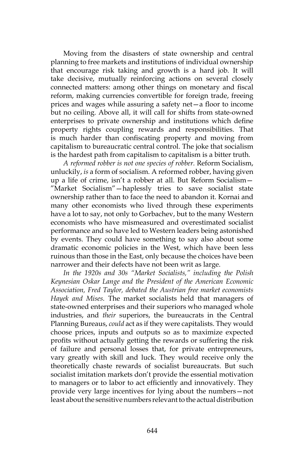Moving from the disasters of state ownership and central planning to free markets and institutions of individual ownership that encourage risk taking and growth is a hard job. It will take decisive, mutually reinforcing actions on several closely connected matters: among other things on monetary and fiscal reform, making currencies convertible for foreign trade, freeing prices and wages while assuring a safety net—a floor to income but no ceiling. Above all, it will call for shifts from state-owned enterprises to private ownership and institutions which define property rights coupling rewards and responsibilities. That is much harder than confiscating property and moving from capitalism to bureaucratic central control. The joke that socialism is the hardest path from capitalism to capitalism is a bitter truth.

*A reformed robber is not one species of robber.* Reform Socialism, unluckily, *is* a form of socialism. A reformed robber, having given up a life of crime, isn't a robber at all. But Reform Socialism— "Market Socialism"—haplessly tries to save socialist state ownership rather than to face the need to abandon it. Kornai and many other economists who lived through these experiments have a lot to say, not only to Gorbachev, but to the many Western economists who have mismeasured and overestimated socialist performance and so have led to Western leaders being astonished by events. They could have something to say also about some dramatic economic policies in the West, which have been less ruinous than those in the East, only because the choices have been narrower and their defects have not been writ as large.

*In the 1920s and 30s "Market Socialists," including the Polish Keynesian Oskar Lange and the President of the American Economic Association, Fred Taylor, debated the Austrian free market economists Hayek and Mises.* The market socialists held that managers of state-owned enterprises and their superiors who managed whole industries, and *their* superiors, the bureaucrats in the Central Planning Bureaus, *could* act as if they were capitalists. They would choose prices, inputs and outputs so as to maximize expected profits without actually getting the rewards or suffering the risk of failure and personal losses that, for private entrepreneurs, vary greatly with skill and luck. They would receive only the theoretically chaste rewards of socialist bureaucrats. But such socialist imitation markets don't provide the essential motivation to managers or to labor to act efficiently and innovatively. They provide very large incentives for lying about the numbers—not least about the sensitive numbers relevant to the actual distribution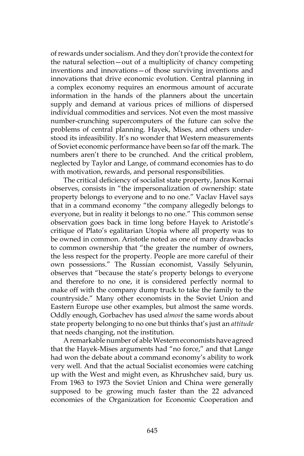of rewards under socialism. And they don't provide the context for the natural selection—out of a multiplicity of chancy competing inventions and innovations—of those surviving inventions and innovations that drive economic evolution. Central planning in a complex economy requires an enormous amount of accurate information in the hands of the planners about the uncertain supply and demand at various prices of millions of dispersed individual commodities and services. Not even the most massive number-crunching supercomputers of the future can solve the problems of central planning. Hayek, Mises, and others understood its infeasibility. It's no wonder that Western measurements of Soviet economic performance have been so far off the mark. The numbers aren't there to be crunched. And the critical problem, neglected by Taylor and Lange, of command economies has to do with motivation, rewards, and personal responsibilities.

The critical deficiency of socialist state property, Janos Kornai observes, consists in "the impersonalization of ownership: state property belongs to everyone and to no one." Vaclav Havel says that in a command economy "the company allegedly belongs to everyone, but in reality it belongs to no one." This common sense observation goes back in time long before Hayek to Aristotle's critique of Plato's egalitarian Utopia where all property was to be owned in common. Aristotle noted as one of many drawbacks to common ownership that "the greater the number of owners, the less respect for the property. People are more careful of their own possessions." The Russian economist, Vassily Selyunin, observes that "because the state's property belongs to everyone and therefore to no one, it is considered perfectly normal to make off with the company dump truck to take the family to the countryside." Many other economists in the Soviet Union and Eastern Europe use other examples, but almost the same words. Oddly enough, Gorbachev has used *almost* the same words about state property belonging to no one but thinks that's just an *attitude* that needs changing, not the institution.

A remarkable number of able Western economists have agreed that the Hayek-Mises arguments had "no force," and that Lange had won the debate about a command economy's ability to work very well. And that the actual Socialist economies were catching up with the West and might even, as Khrushchev said, bury us. From 1963 to 1973 the Soviet Union and China were generally supposed to be growing much faster than the 22 advanced economies of the Organization for Economic Cooperation and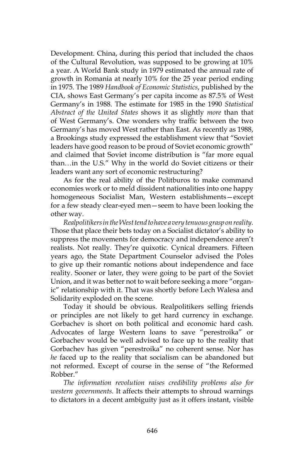Development. China, during this period that included the chaos of the Cultural Revolution, was supposed to be growing at 10% a year. A World Bank study in 1979 estimated the annual rate of growth in Romania at nearly 10% for the 25 year period ending in 1975. The 1989 *Handbook of Economic Statistics*, published by the CIA, shows East Germany's per capita income as 87.5% of West Germany's in 1988. The estimate for 1985 in the 1990 *Statistical Abstract of the United States* shows it as slightly *more* than that of West Germany's. One wonders why traffic between the two Germany's has moved West rather than East. As recently as 1988, a Brookings study expressed the establishment view that "Soviet leaders have good reason to be proud of Soviet economic growth" and claimed that Soviet income distribution is "far more equal than…in the U.S." Why in the world do Soviet citizens or their leaders want any sort of economic restructuring?

As for the real ability of the Politburos to make command economies work or to meld dissident nationalities into one happy homogeneous Socialist Man, Western establishments—except for a few steady clear-eyed men—seem to have been looking the other way.

*Realpolitikers in the West tend to have a very tenuous grasp on reality.* Those that place their bets today on a Socialist dictator's ability to suppress the movements for democracy and independence aren't realists. Not really. They're quixotic. Cynical dreamers. Fifteen years ago, the State Department Counselor advised the Poles to give up their romantic notions about independence and face reality. Sooner or later, they were going to be part of the Soviet Union, and it was better not to wait before seeking a more "organic" relationship with it. That was shortly before Lech Walesa and Solidarity exploded on the scene.

Today it should be obvious. Realpolitikers selling friends or principles are not likely to get hard currency in exchange. Gorbachev is short on both political and economic hard cash. Advocates of large Western loans to save "perestroika" or Gorbachev would be well advised to face up to the reality that Gorbachev has given "perestroika" no coherent sense. Nor has *he* faced up to the reality that socialism can be abandoned but not reformed. Except of course in the sense of "the Reformed Robber."

*The information revolution raises credibility problems also for western governments.* It affects their attempts to shroud warnings to dictators in a decent ambiguity just as it offers instant, visible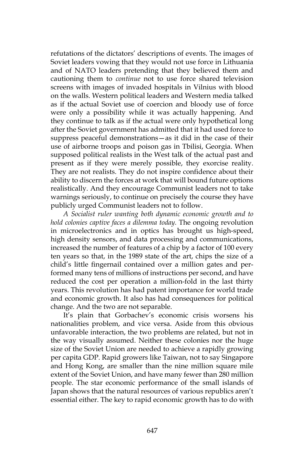refutations of the dictators' descriptions of events. The images of Soviet leaders vowing that they would not use force in Lithuania and of NATO leaders pretending that they believed them and cautioning them to *continue* not to use force shared television screens with images of invaded hospitals in Vilnius with blood on the walls. Western political leaders and Western media talked as if the actual Soviet use of coercion and bloody use of force were only a possibility while it was actually happening. And they continue to talk as if the actual were only hypothetical long after the Soviet government has admitted that it had used force to suppress peaceful demonstrations—as it did in the case of their use of airborne troops and poison gas in Tbilisi, Georgia. When supposed political realists in the West talk of the actual past and present as if they were merely possible, they exorcise reality. They are not realists. They do not inspire confidence about their ability to discern the forces at work that will bound future options realistically. And they encourage Communist leaders not to take warnings seriously, to continue on precisely the course they have publicly urged Communist leaders not to follow.

*A Socialist ruler wanting both dynamic economic growth and to hold colonies captive faces a dilemma today.* The ongoing revolution in microelectronics and in optics has brought us high-speed, high density sensors, and data processing and communications, increased the number of features of a chip by a factor of 100 every ten years so that, in the 1989 state of the art, chips the size of a child's little fingernail contained over a million gates and performed many tens of millions of instructions per second, and have reduced the cost per operation a million-fold in the last thirty years. This revolution has had patent importance for world trade and economic growth. It also has had consequences for political change. And the two are not separable.

It's plain that Gorbachev's economic crisis worsens his nationalities problem, and vice versa. Aside from this obvious unfavorable interaction, the two problems are related, but not in the way visually assumed. Neither these colonies nor the huge size of the Soviet Union are needed to achieve a rapidly growing per capita GDP. Rapid growers like Taiwan, not to say Singapore and Hong Kong, are smaller than the nine million square mile extent of the Soviet Union, and have many fewer than 280 million people. The star economic performance of the small islands of Japan shows that the natural resources of various republics aren't essential either. The key to rapid economic growth has to do with